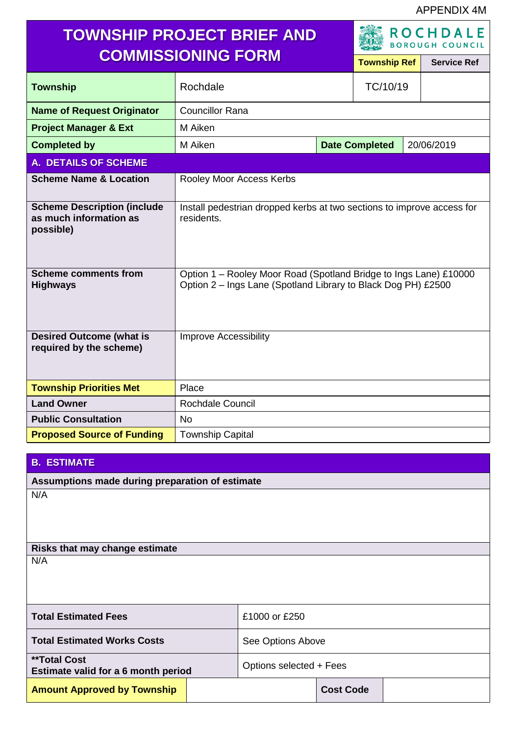APPENDIX 4M

| <b>TOWNSHIP PROJECT BRIEF AND</b><br><b>COMMISSIONING FORM</b>            |                                                                                                                                    | <b>ROCHDALE</b><br><b>BOROUGH COUNCIL</b> |                       |                    |            |
|---------------------------------------------------------------------------|------------------------------------------------------------------------------------------------------------------------------------|-------------------------------------------|-----------------------|--------------------|------------|
|                                                                           |                                                                                                                                    | <b>Township Ref</b>                       |                       | <b>Service Ref</b> |            |
| <b>Township</b>                                                           | Rochdale                                                                                                                           |                                           | TC/10/19              |                    |            |
| <b>Name of Request Originator</b>                                         | <b>Councillor Rana</b>                                                                                                             |                                           |                       |                    |            |
| <b>Project Manager &amp; Ext</b>                                          | M Aiken                                                                                                                            |                                           |                       |                    |            |
| <b>Completed by</b>                                                       | M Aiken                                                                                                                            |                                           | <b>Date Completed</b> |                    | 20/06/2019 |
| <b>A. DETAILS OF SCHEME</b>                                               |                                                                                                                                    |                                           |                       |                    |            |
| <b>Scheme Name &amp; Location</b>                                         | Rooley Moor Access Kerbs                                                                                                           |                                           |                       |                    |            |
| <b>Scheme Description (include</b><br>as much information as<br>possible) | Install pedestrian dropped kerbs at two sections to improve access for<br>residents.                                               |                                           |                       |                    |            |
| <b>Scheme comments from</b><br><b>Highways</b>                            | Option 1 - Rooley Moor Road (Spotland Bridge to Ings Lane) £10000<br>Option 2 - Ings Lane (Spotland Library to Black Dog PH) £2500 |                                           |                       |                    |            |
| <b>Desired Outcome (what is</b><br>required by the scheme)                | <b>Improve Accessibility</b>                                                                                                       |                                           |                       |                    |            |
| <b>Township Priorities Met</b>                                            | Place                                                                                                                              |                                           |                       |                    |            |
| <b>Land Owner</b>                                                         | Rochdale Council                                                                                                                   |                                           |                       |                    |            |
| <b>Public Consultation</b>                                                | <b>No</b>                                                                                                                          |                                           |                       |                    |            |
| <b>Proposed Source of Funding</b>                                         | <b>Township Capital</b>                                                                                                            |                                           |                       |                    |            |

## **B. ESTIMATE**

**Assumptions made during preparation of estimate**

N/A

**Risks that may change estimate** N/A

**Total Estimated Fees** 250 **Total Estimated Works Costs** See Options Above **\*\*Total Cost Estimate valid for a 6 month period** Options selected + Fees **Amount Approved by Township Cost Code Cost Code**